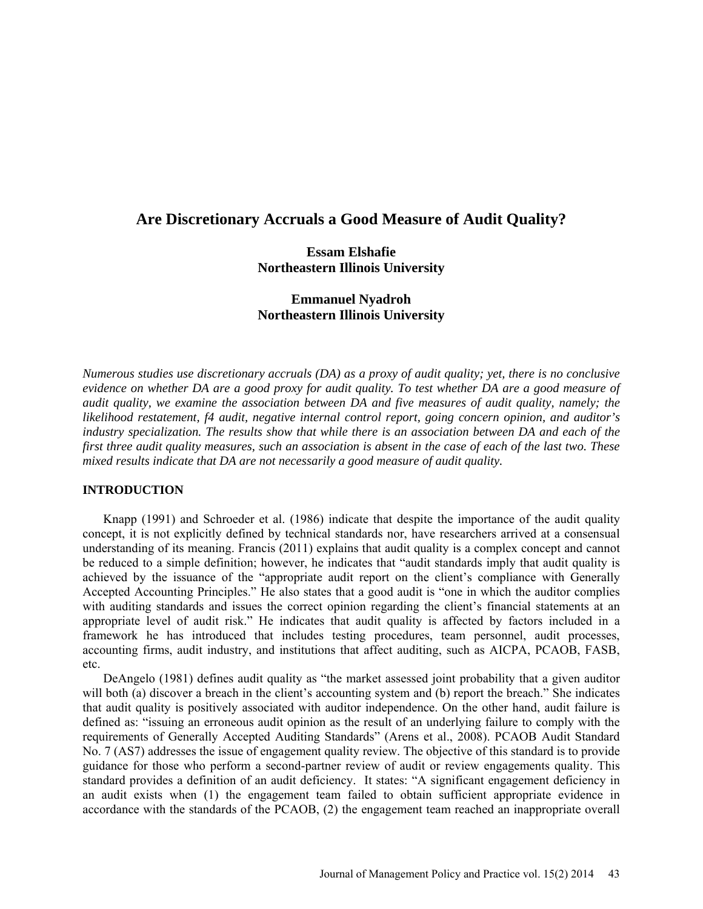# **Are Discretionary Accruals a Good Measure of Audit Quality?**

# **Essam Elshafie Northeastern Illinois University**

# **Emmanuel Nyadroh Northeastern Illinois University**

*Numerous studies use discretionary accruals (DA) as a proxy of audit quality; yet, there is no conclusive evidence on whether DA are a good proxy for audit quality. To test whether DA are a good measure of audit quality, we examine the association between DA and five measures of audit quality, namely; the likelihood restatement, f4 audit, negative internal control report, going concern opinion, and auditor's industry specialization. The results show that while there is an association between DA and each of the first three audit quality measures, such an association is absent in the case of each of the last two. These mixed results indicate that DA are not necessarily a good measure of audit quality.*

# **INTRODUCTION**

Knapp (1991) and Schroeder et al. (1986) indicate that despite the importance of the audit quality concept, it is not explicitly defined by technical standards nor, have researchers arrived at a consensual understanding of its meaning. Francis (2011) explains that audit quality is a complex concept and cannot be reduced to a simple definition; however, he indicates that "audit standards imply that audit quality is achieved by the issuance of the "appropriate audit report on the client's compliance with Generally Accepted Accounting Principles." He also states that a good audit is "one in which the auditor complies with auditing standards and issues the correct opinion regarding the client's financial statements at an appropriate level of audit risk." He indicates that audit quality is affected by factors included in a framework he has introduced that includes testing procedures, team personnel, audit processes, accounting firms, audit industry, and institutions that affect auditing, such as AICPA, PCAOB, FASB, etc.

DeAngelo (1981) defines audit quality as "the market assessed joint probability that a given auditor will both (a) discover a breach in the client's accounting system and (b) report the breach." She indicates that audit quality is positively associated with auditor independence. On the other hand, audit failure is defined as: "issuing an erroneous audit opinion as the result of an underlying failure to comply with the requirements of Generally Accepted Auditing Standards" (Arens et al., 2008). PCAOB Audit Standard No. 7 (AS7) addresses the issue of engagement quality review. The objective of this standard is to provide guidance for those who perform a second-partner review of audit or review engagements quality. This standard provides a definition of an audit deficiency. It states: "A significant engagement deficiency in an audit exists when (1) the engagement team failed to obtain sufficient appropriate evidence in accordance with the standards of the PCAOB, (2) the engagement team reached an inappropriate overall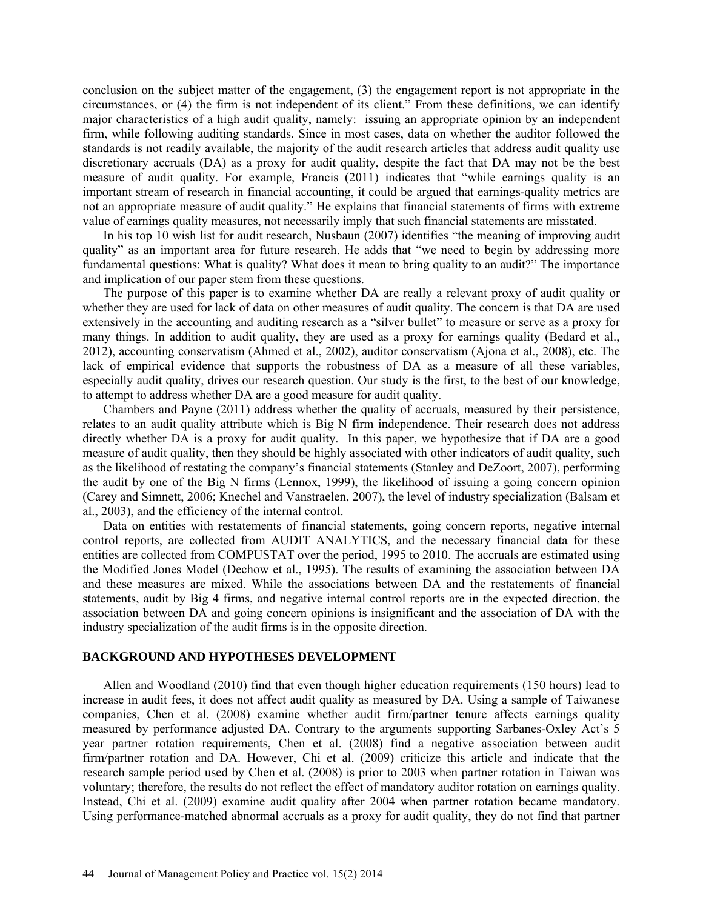conclusion on the subject matter of the engagement, (3) the engagement report is not appropriate in the circumstances, or (4) the firm is not independent of its client." From these definitions, we can identify major characteristics of a high audit quality, namely: issuing an appropriate opinion by an independent firm, while following auditing standards. Since in most cases, data on whether the auditor followed the standards is not readily available, the majority of the audit research articles that address audit quality use discretionary accruals (DA) as a proxy for audit quality, despite the fact that DA may not be the best measure of audit quality. For example, Francis (2011) indicates that "while earnings quality is an important stream of research in financial accounting, it could be argued that earnings-quality metrics are not an appropriate measure of audit quality." He explains that financial statements of firms with extreme value of earnings quality measures, not necessarily imply that such financial statements are misstated.

In his top 10 wish list for audit research, Nusbaun (2007) identifies "the meaning of improving audit quality" as an important area for future research. He adds that "we need to begin by addressing more fundamental questions: What is quality? What does it mean to bring quality to an audit?" The importance and implication of our paper stem from these questions.

The purpose of this paper is to examine whether DA are really a relevant proxy of audit quality or whether they are used for lack of data on other measures of audit quality. The concern is that DA are used extensively in the accounting and auditing research as a "silver bullet" to measure or serve as a proxy for many things. In addition to audit quality, they are used as a proxy for earnings quality (Bedard et al., 2012), accounting conservatism (Ahmed et al., 2002), auditor conservatism (Ajona et al., 2008), etc. The lack of empirical evidence that supports the robustness of DA as a measure of all these variables, especially audit quality, drives our research question. Our study is the first, to the best of our knowledge, to attempt to address whether DA are a good measure for audit quality.

Chambers and Payne (2011) address whether the quality of accruals, measured by their persistence, relates to an audit quality attribute which is Big N firm independence. Their research does not address directly whether DA is a proxy for audit quality. In this paper, we hypothesize that if DA are a good measure of audit quality, then they should be highly associated with other indicators of audit quality, such as the likelihood of restating the company's financial statements (Stanley and DeZoort, 2007), performing the audit by one of the Big N firms (Lennox, 1999), the likelihood of issuing a going concern opinion (Carey and Simnett, 2006; Knechel and Vanstraelen, 2007), the level of industry specialization (Balsam et al., 2003), and the efficiency of the internal control.

Data on entities with restatements of financial statements, going concern reports, negative internal control reports, are collected from AUDIT ANALYTICS, and the necessary financial data for these entities are collected from COMPUSTAT over the period, 1995 to 2010. The accruals are estimated using the Modified Jones Model (Dechow et al., 1995). The results of examining the association between DA and these measures are mixed. While the associations between DA and the restatements of financial statements, audit by Big 4 firms, and negative internal control reports are in the expected direction, the association between DA and going concern opinions is insignificant and the association of DA with the industry specialization of the audit firms is in the opposite direction.

## **BACKGROUND AND HYPOTHESES DEVELOPMENT**

Allen and Woodland (2010) find that even though higher education requirements (150 hours) lead to increase in audit fees, it does not affect audit quality as measured by DA. Using a sample of Taiwanese companies, Chen et al. (2008) examine whether audit firm/partner tenure affects earnings quality measured by performance adjusted DA. Contrary to the arguments supporting Sarbanes-Oxley Act's 5 year partner rotation requirements, Chen et al. (2008) find a negative association between audit firm/partner rotation and DA. However, Chi et al. (2009) criticize this article and indicate that the research sample period used by Chen et al. (2008) is prior to 2003 when partner rotation in Taiwan was voluntary; therefore, the results do not reflect the effect of mandatory auditor rotation on earnings quality. Instead, Chi et al. (2009) examine audit quality after 2004 when partner rotation became mandatory. Using performance-matched abnormal accruals as a proxy for audit quality, they do not find that partner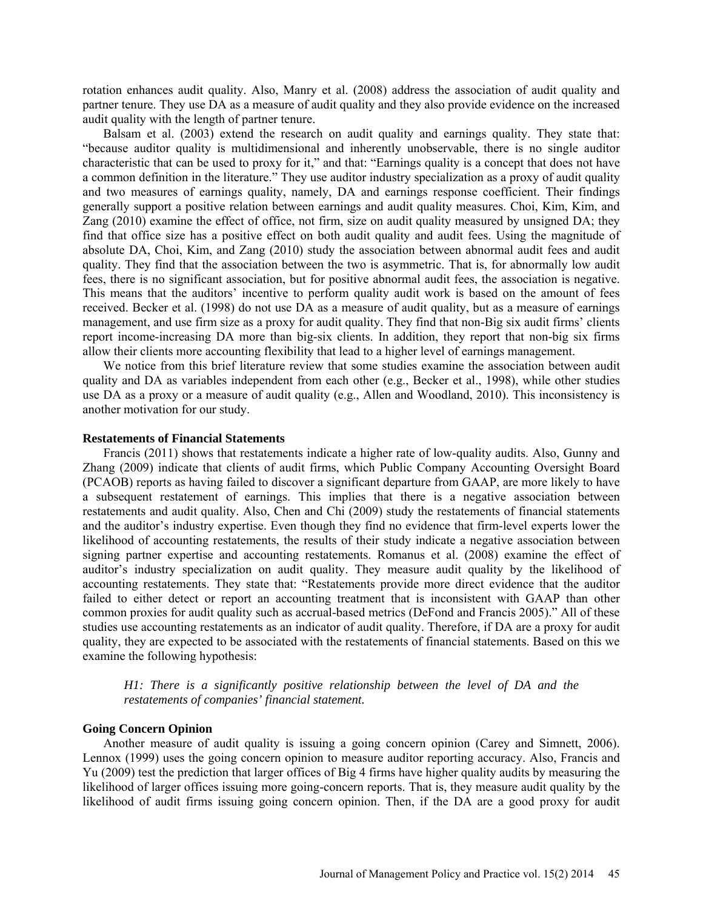rotation enhances audit quality. Also, Manry et al. (2008) address the association of audit quality and partner tenure. They use DA as a measure of audit quality and they also provide evidence on the increased audit quality with the length of partner tenure.

Balsam et al. (2003) extend the research on audit quality and earnings quality. They state that: "because auditor quality is multidimensional and inherently unobservable, there is no single auditor characteristic that can be used to proxy for it," and that: "Earnings quality is a concept that does not have a common definition in the literature." They use auditor industry specialization as a proxy of audit quality and two measures of earnings quality, namely, DA and earnings response coefficient. Their findings generally support a positive relation between earnings and audit quality measures. Choi, Kim, Kim, and Zang (2010) examine the effect of office, not firm, size on audit quality measured by unsigned DA; they find that office size has a positive effect on both audit quality and audit fees. Using the magnitude of absolute DA, Choi, Kim, and Zang (2010) study the association between abnormal audit fees and audit quality. They find that the association between the two is asymmetric. That is, for abnormally low audit fees, there is no significant association, but for positive abnormal audit fees, the association is negative. This means that the auditors' incentive to perform quality audit work is based on the amount of fees received. Becker et al. (1998) do not use DA as a measure of audit quality, but as a measure of earnings management, and use firm size as a proxy for audit quality. They find that non-Big six audit firms' clients report income-increasing DA more than big-six clients. In addition, they report that non-big six firms allow their clients more accounting flexibility that lead to a higher level of earnings management.

We notice from this brief literature review that some studies examine the association between audit quality and DA as variables independent from each other (e.g., Becker et al., 1998), while other studies use DA as a proxy or a measure of audit quality (e.g., Allen and Woodland, 2010). This inconsistency is another motivation for our study.

#### **Restatements of Financial Statements**

Francis (2011) shows that restatements indicate a higher rate of low-quality audits. Also, Gunny and Zhang (2009) indicate that clients of audit firms, which Public Company Accounting Oversight Board (PCAOB) reports as having failed to discover a significant departure from GAAP, are more likely to have a subsequent restatement of earnings. This implies that there is a negative association between restatements and audit quality. Also, Chen and Chi (2009) study the restatements of financial statements and the auditor's industry expertise. Even though they find no evidence that firm-level experts lower the likelihood of accounting restatements, the results of their study indicate a negative association between signing partner expertise and accounting restatements. Romanus et al. (2008) examine the effect of auditor's industry specialization on audit quality. They measure audit quality by the likelihood of accounting restatements. They state that: "Restatements provide more direct evidence that the auditor failed to either detect or report an accounting treatment that is inconsistent with GAAP than other common proxies for audit quality such as accrual-based metrics (DeFond and Francis 2005)." All of these studies use accounting restatements as an indicator of audit quality. Therefore, if DA are a proxy for audit quality, they are expected to be associated with the restatements of financial statements. Based on this we examine the following hypothesis:

*H1: There is a significantly positive relationship between the level of DA and the restatements of companies' financial statement.*

### **Going Concern Opinion**

Another measure of audit quality is issuing a going concern opinion (Carey and Simnett, 2006). Lennox (1999) uses the going concern opinion to measure auditor reporting accuracy. Also, Francis and Yu (2009) test the prediction that larger offices of Big 4 firms have higher quality audits by measuring the likelihood of larger offices issuing more going-concern reports. That is, they measure audit quality by the likelihood of audit firms issuing going concern opinion. Then, if the DA are a good proxy for audit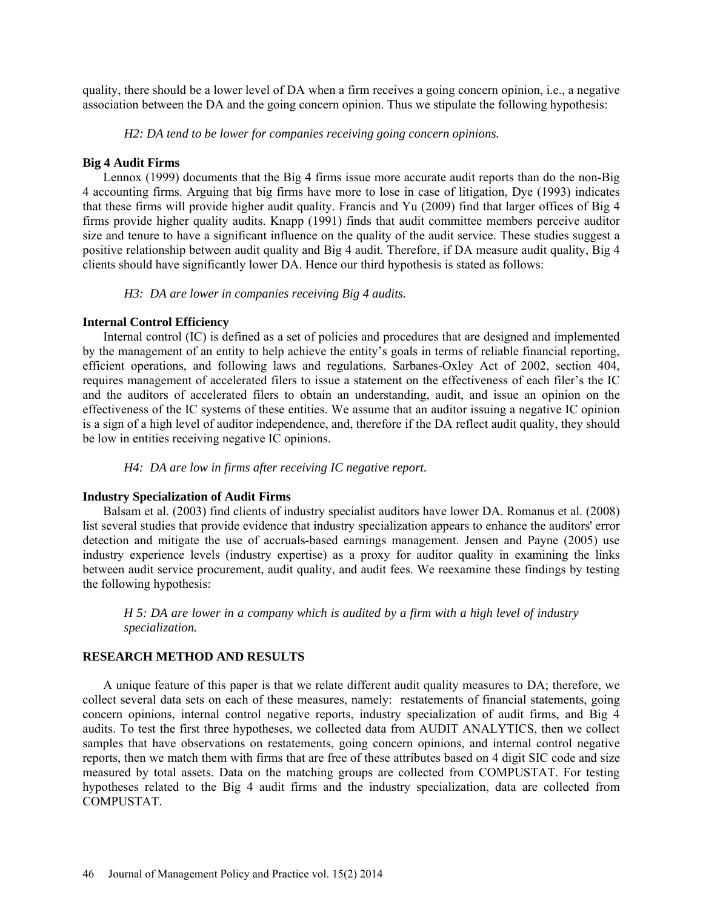quality, there should be a lower level of DA when a firm receives a going concern opinion, i.e., a negative association between the DA and the going concern opinion. Thus we stipulate the following hypothesis:

*H2: DA tend to be lower for companies receiving going concern opinions.* 

#### **Big 4 Audit Firms**

Lennox (1999) documents that the Big 4 firms issue more accurate audit reports than do the non-Big 4 accounting firms. Arguing that big firms have more to lose in case of litigation, Dye (1993) indicates that these firms will provide higher audit quality. Francis and Yu (2009) find that larger offices of Big 4 firms provide higher quality audits. Knapp (1991) finds that audit committee members perceive auditor size and tenure to have a significant influence on the quality of the audit service. These studies suggest a positive relationship between audit quality and Big 4 audit. Therefore, if DA measure audit quality, Big 4 clients should have significantly lower DA. Hence our third hypothesis is stated as follows:

*H3: DA are lower in companies receiving Big 4 audits.*

### **Internal Control Efficiency**

Internal control (IC) is defined as a set of policies and procedures that are designed and implemented by the management of an entity to help achieve the entity's goals in terms of reliable financial reporting, efficient operations, and following laws and regulations. Sarbanes-Oxley Act of 2002, section 404, requires management of accelerated filers to issue a statement on the effectiveness of each filer's the IC and the auditors of accelerated filers to obtain an understanding, audit, and issue an opinion on the effectiveness of the IC systems of these entities. We assume that an auditor issuing a negative IC opinion is a sign of a high level of auditor independence, and, therefore if the DA reflect audit quality, they should be low in entities receiving negative IC opinions.

*H4: DA are low in firms after receiving IC negative report.* 

### **Industry Specialization of Audit Firms**

Balsam et al. (2003) find clients of industry specialist auditors have lower DA. Romanus et al. (2008) list several studies that provide evidence that industry specialization appears to enhance the auditors' error detection and mitigate the use of accruals-based earnings management. Jensen and Payne (2005) use industry experience levels (industry expertise) as a proxy for auditor quality in examining the links between audit service procurement, audit quality, and audit fees. We reexamine these findings by testing the following hypothesis:

*H 5: DA are lower in a company which is audited by a firm with a high level of industry specialization.*

# **RESEARCH METHOD AND RESULTS**

A unique feature of this paper is that we relate different audit quality measures to DA; therefore, we collect several data sets on each of these measures, namely: restatements of financial statements, going concern opinions, internal control negative reports, industry specialization of audit firms, and Big 4 audits. To test the first three hypotheses, we collected data from AUDIT ANALYTICS, then we collect samples that have observations on restatements, going concern opinions, and internal control negative reports, then we match them with firms that are free of these attributes based on 4 digit SIC code and size measured by total assets. Data on the matching groups are collected from COMPUSTAT. For testing hypotheses related to the Big 4 audit firms and the industry specialization, data are collected from COMPUSTAT.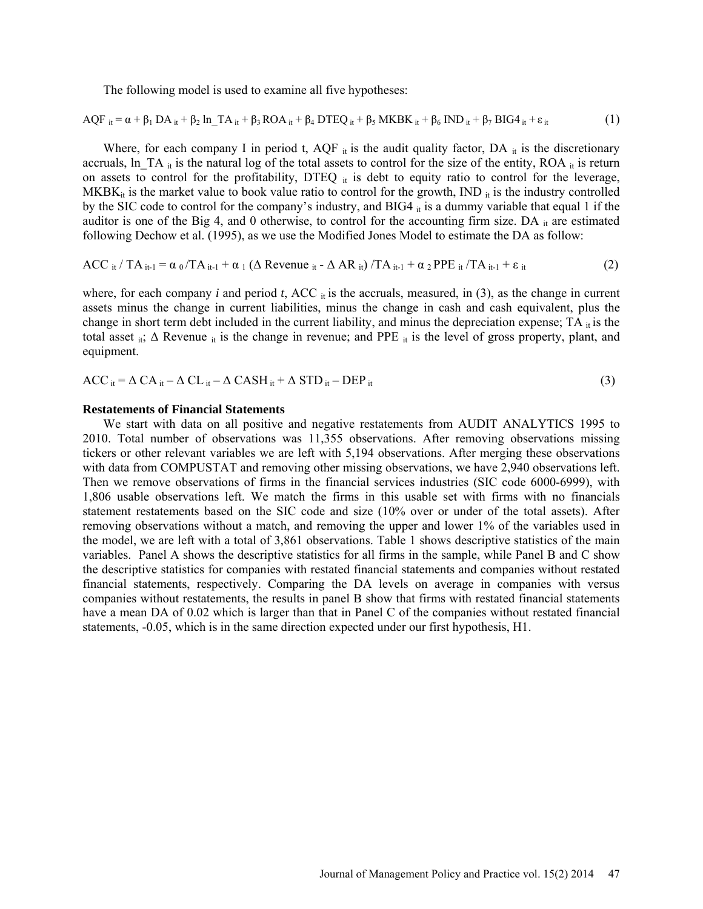The following model is used to examine all five hypotheses:

$$
AQF_{it} = \alpha + \beta_1 DA_{it} + \beta_2 In\_TA_{it} + \beta_3 ROA_{it} + \beta_4 DTEQ_{it} + \beta_5 MKBK_{it} + \beta_6 IND_{it} + \beta_7 BIG4_{it} + \epsilon_{it}
$$
 (1)

Where, for each company I in period t,  $AQF_{it}$  is the audit quality factor,  $DA_{it}$  is the discretionary accruals, ln TA  $_{it}$  is the natural log of the total assets to control for the size of the entity, ROA  $_{it}$  is return on assets to control for the profitability, DTEQ  $_{it}$  is debt to equity ratio to control for the leverage, MKB $K_{it}$  is the market value to book value ratio to control for the growth, IND  $_{it}$  is the industry controlled by the SIC code to control for the company's industry, and BIG4  $_{it}$  is a dummy variable that equal 1 if the auditor is one of the Big 4, and 0 otherwise, to control for the accounting firm size. DA  $_{it}$  are estimated following Dechow et al. (1995), as we use the Modified Jones Model to estimate the DA as follow:

$$
\text{ACC}_{it}/\text{TA}_{it-1} = \alpha_0/\text{TA}_{it-1} + \alpha_1 \left(\Delta \text{ Revenue}_{it} - \Delta \text{AR}_{it}\right) / \text{TA}_{it-1} + \alpha_2 \text{PPE}_{it}/\text{TA}_{it-1} + \epsilon_{it} \tag{2}
$$

where, for each company  $i$  and period  $t$ , ACC  $\pi$  is the accruals, measured, in (3), as the change in current assets minus the change in current liabilities, minus the change in cash and cash equivalent, plus the change in short term debt included in the current liability, and minus the depreciation expense;  $TA$  it is the total asset it;  $\Delta$  Revenue it is the change in revenue; and PPE it is the level of gross property, plant, and equipment.

$$
ACC_{it} = \Delta CA_{it} - \Delta CL_{it} - \Delta CASH_{it} + \Delta STD_{it} - DEP_{it}
$$
\n(3)

#### **Restatements of Financial Statements**

We start with data on all positive and negative restatements from AUDIT ANALYTICS 1995 to 2010. Total number of observations was 11,355 observations. After removing observations missing tickers or other relevant variables we are left with 5,194 observations. After merging these observations with data from COMPUSTAT and removing other missing observations, we have 2,940 observations left. Then we remove observations of firms in the financial services industries (SIC code 6000-6999), with 1,806 usable observations left. We match the firms in this usable set with firms with no financials statement restatements based on the SIC code and size (10% over or under of the total assets). After removing observations without a match, and removing the upper and lower 1% of the variables used in the model, we are left with a total of 3,861 observations. Table 1 shows descriptive statistics of the main variables. Panel A shows the descriptive statistics for all firms in the sample, while Panel B and C show the descriptive statistics for companies with restated financial statements and companies without restated financial statements, respectively. Comparing the DA levels on average in companies with versus companies without restatements, the results in panel B show that firms with restated financial statements have a mean DA of 0.02 which is larger than that in Panel C of the companies without restated financial statements, -0.05, which is in the same direction expected under our first hypothesis, H1.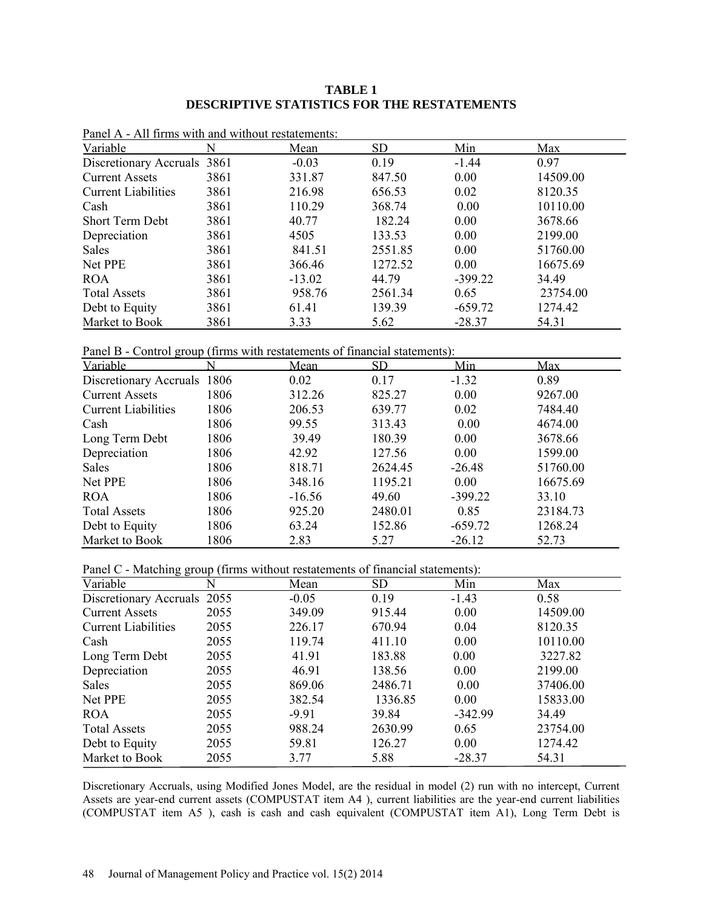# **TABLE 1 DESCRIPTIVE STATISTICS FOR THE RESTATEMENTS**

| $\Gamma$ and $\Delta$ - All then with and without restatements. |      |          |           |           |          |
|-----------------------------------------------------------------|------|----------|-----------|-----------|----------|
| Variable                                                        |      | Mean     | <b>SD</b> | Min       | Max      |
| Discretionary Accruals                                          | 3861 | $-0.03$  | 0.19      | $-1.44$   | 0.97     |
| <b>Current Assets</b>                                           | 3861 | 331.87   | 847.50    | 0.00      | 14509.00 |
| <b>Current Liabilities</b>                                      | 3861 | 216.98   | 656.53    | 0.02      | 8120.35  |
| Cash                                                            | 3861 | 110.29   | 368.74    | 0.00      | 10110.00 |
| <b>Short Term Debt</b>                                          | 3861 | 40.77    | 182.24    | 0.00      | 3678.66  |
| Depreciation                                                    | 3861 | 4505     | 133.53    | 0.00      | 2199.00  |
| <b>Sales</b>                                                    | 3861 | 841.51   | 2551.85   | 0.00      | 51760.00 |
| Net PPE                                                         | 3861 | 366.46   | 1272.52   | 0.00      | 16675.69 |
| <b>ROA</b>                                                      | 3861 | $-13.02$ | 44.79     | $-399.22$ | 34.49    |
| <b>Total Assets</b>                                             | 3861 | 958.76   | 2561.34   | 0.65      | 23754.00 |
| Debt to Equity                                                  | 3861 | 61.41    | 139.39    | $-659.72$ | 1274.42  |
| Market to Book                                                  | 3861 | 3.33     | 5.62      | $-28.37$  | 54.31    |

Panel A - All firms with and without restatements:

Panel B - Control group (firms with restatements of financial statements):

| Variable                    |      | Mean     | <b>SD</b> | Min       | Max      |
|-----------------------------|------|----------|-----------|-----------|----------|
| Discretionary Accruals 1806 |      | 0.02     | 0.17      | $-1.32$   | 0.89     |
| <b>Current Assets</b>       | 1806 | 312.26   | 825.27    | 0.00      | 9267.00  |
| <b>Current Liabilities</b>  | 1806 | 206.53   | 639.77    | 0.02      | 7484.40  |
| Cash                        | 1806 | 99.55    | 313.43    | 0.00      | 4674.00  |
| Long Term Debt              | 1806 | 39.49    | 180.39    | 0.00      | 3678.66  |
| Depreciation                | 1806 | 42.92    | 127.56    | 0.00      | 1599.00  |
| Sales                       | 1806 | 818.71   | 2624.45   | $-26.48$  | 51760.00 |
| Net PPE                     | 1806 | 348.16   | 1195.21   | 0.00      | 16675.69 |
| <b>ROA</b>                  | 1806 | $-16.56$ | 49.60     | $-399.22$ | 33.10    |
| <b>Total Assets</b>         | 1806 | 925.20   | 2480.01   | 0.85      | 23184.73 |
| Debt to Equity              | 1806 | 63.24    | 152.86    | $-659.72$ | 1268.24  |
| Market to Book              | 1806 | 2.83     | 5.27      | $-26.12$  | 52.73    |

Panel C - Matching group (firms without restatements of financial statements):

| Variable                    |      | Mean    | <b>SD</b> | Min       | Max      |
|-----------------------------|------|---------|-----------|-----------|----------|
| Discretionary Accruals 2055 |      | $-0.05$ | 0.19      | $-1.43$   | 0.58     |
| <b>Current Assets</b>       | 2055 | 349.09  | 915.44    | 0.00      | 14509.00 |
| <b>Current Liabilities</b>  | 2055 | 226.17  | 670.94    | 0.04      | 8120.35  |
| Cash                        | 2055 | 119.74  | 411.10    | 0.00      | 10110.00 |
| Long Term Debt              | 2055 | 41.91   | 183.88    | 0.00      | 3227.82  |
| Depreciation                | 2055 | 46.91   | 138.56    | 0.00      | 2199.00  |
| Sales                       | 2055 | 869.06  | 2486.71   | 0.00      | 37406.00 |
| Net PPE                     | 2055 | 382.54  | 1336.85   | 0.00      | 15833.00 |
| <b>ROA</b>                  | 2055 | $-9.91$ | 39.84     | $-342.99$ | 34.49    |
| <b>Total Assets</b>         | 2055 | 988.24  | 2630.99   | 0.65      | 23754.00 |
| Debt to Equity              | 2055 | 59.81   | 126.27    | 0.00      | 1274.42  |
| Market to Book              | 2055 | 3.77    | 5.88      | $-28.37$  | 54.31    |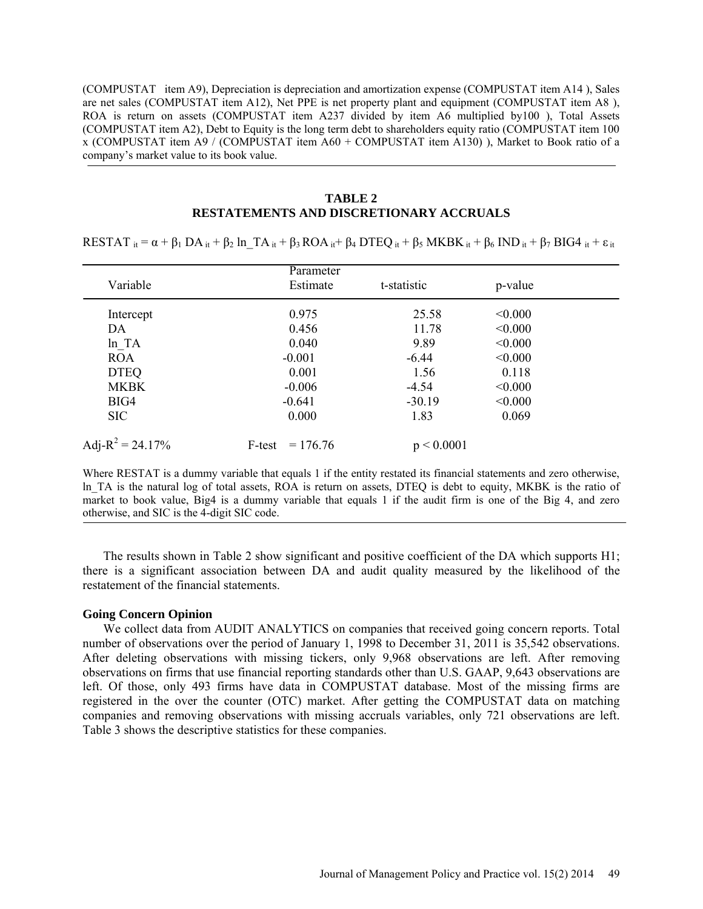(COMPUSTAT item A9), Depreciation is depreciation and amortization expense (COMPUSTAT item A14 ), Sales are net sales (COMPUSTAT item A12), Net PPE is net property plant and equipment (COMPUSTAT item A8 ), ROA is return on assets (COMPUSTAT item A237 divided by item A6 multiplied by100 ), Total Assets (COMPUSTAT item A2), Debt to Equity is the long term debt to shareholders equity ratio (COMPUSTAT item 100 x (COMPUSTAT item A9 / (COMPUSTAT item A60 + COMPUSTAT item A130) ), Market to Book ratio of a company's market value to its book value.

# **TABLE 2**

## **RESTATEMENTS AND DISCRETIONARY ACCRUALS**

RESTAT  $i_t = \alpha + \beta_1 DA_i t + \beta_2 In TA_i t + \beta_3 ROA_i t + \beta_4 DTEQ_i t + \beta_5 MKBK_i t + \beta_6 IND_i t + \beta_7 BIG4 i_t + \epsilon_i t$ 

|                             | Parameter            |             |         |  |
|-----------------------------|----------------------|-------------|---------|--|
| Variable                    | Estimate             | t-statistic | p-value |  |
| Intercept                   | 0.975                | 25.58       | < 0.000 |  |
| DA                          | 0.456                | 11.78       | < 0.000 |  |
| ln TA                       | 0.040                | 9.89        | < 0.000 |  |
| <b>ROA</b>                  | $-0.001$             | $-6.44$     | < 0.000 |  |
| <b>DTEQ</b>                 | 0.001                | 1.56        | 0.118   |  |
| <b>MKBK</b>                 | $-0.006$             | $-4.54$     | < 0.000 |  |
| BIG4                        | $-0.641$             | $-30.19$    | < 0.000 |  |
| <b>SIC</b>                  | 0.000                | 1.83        | 0.069   |  |
| Adj-R <sup>2</sup> = 24.17% | $= 176.76$<br>F-test | p < 0.0001  |         |  |

Where RESTAT is a dummy variable that equals 1 if the entity restated its financial statements and zero otherwise, ln\_TA is the natural log of total assets, ROA is return on assets, DTEQ is debt to equity, MKBK is the ratio of market to book value, Big4 is a dummy variable that equals 1 if the audit firm is one of the Big 4, and zero otherwise, and SIC is the 4-digit SIC code.

The results shown in Table 2 show significant and positive coefficient of the DA which supports H1; there is a significant association between DA and audit quality measured by the likelihood of the restatement of the financial statements.

#### **Going Concern Opinion**

We collect data from AUDIT ANALYTICS on companies that received going concern reports. Total number of observations over the period of January 1, 1998 to December 31, 2011 is 35,542 observations. After deleting observations with missing tickers, only 9,968 observations are left. After removing observations on firms that use financial reporting standards other than U.S. GAAP, 9,643 observations are left. Of those, only 493 firms have data in COMPUSTAT database. Most of the missing firms are registered in the over the counter (OTC) market. After getting the COMPUSTAT data on matching companies and removing observations with missing accruals variables, only 721 observations are left. Table 3 shows the descriptive statistics for these companies.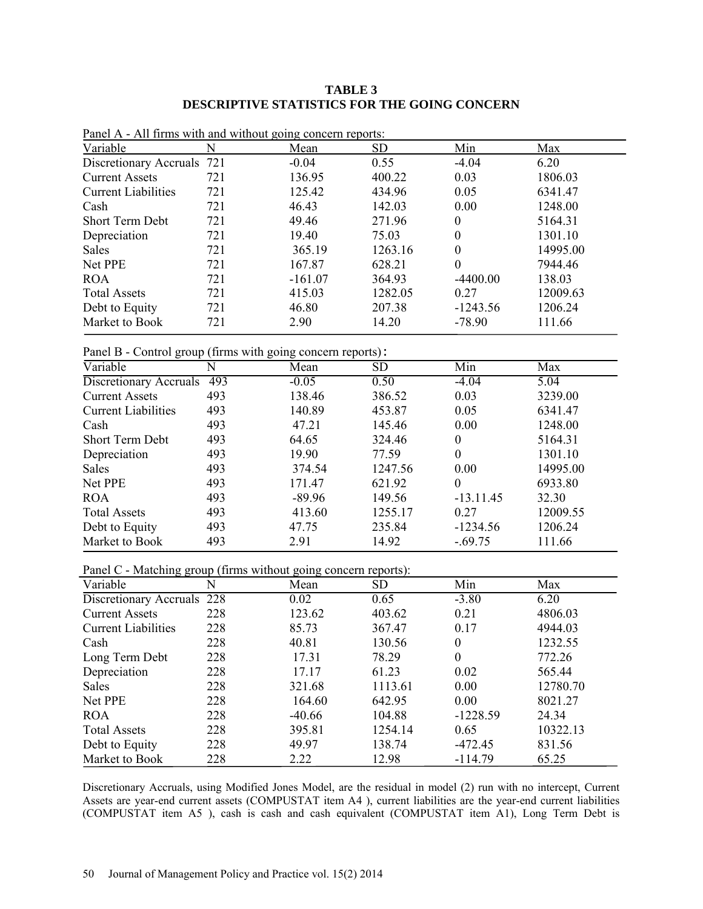# **TABLE 3 DESCRIPTIVE STATISTICS FOR THE GOING CONCERN**

| I and IX This mind with and without going concern reports. |     |           |           |            |          |
|------------------------------------------------------------|-----|-----------|-----------|------------|----------|
| Variable                                                   | N   | Mean      | <b>SD</b> | Min        | Max      |
| Discretionary Accruals 721                                 |     | $-0.04$   | 0.55      | $-4.04$    | 6.20     |
| <b>Current Assets</b>                                      | 721 | 136.95    | 400.22    | 0.03       | 1806.03  |
| <b>Current Liabilities</b>                                 | 721 | 125.42    | 434.96    | 0.05       | 6341.47  |
| Cash                                                       | 721 | 46.43     | 142.03    | 0.00       | 1248.00  |
| <b>Short Term Debt</b>                                     | 721 | 49.46     | 271.96    | 0          | 5164.31  |
| Depreciation                                               | 721 | 19.40     | 75.03     | 0          | 1301.10  |
| <b>Sales</b>                                               | 721 | 365.19    | 1263.16   | $\theta$   | 14995.00 |
| Net PPE                                                    | 721 | 167.87    | 628.21    | $\theta$   | 7944.46  |
| <b>ROA</b>                                                 | 721 | $-161.07$ | 364.93    | $-4400.00$ | 138.03   |
| <b>Total Assets</b>                                        | 721 | 415.03    | 1282.05   | 0.27       | 12009.63 |
| Debt to Equity                                             | 721 | 46.80     | 207.38    | $-1243.56$ | 1206.24  |
| Market to Book                                             | 721 | 2.90      | 14.20     | $-78.90$   | 111.66   |
|                                                            |     |           |           |            |          |

Panel A - All firms with and without going concern reports:

Panel B - Control group (firms with going concern reports):

| ັ                          | $\mathbf{r}$ | $\overline{ }$ | $\overline{\phantom{a}}$ |                  |          |
|----------------------------|--------------|----------------|--------------------------|------------------|----------|
| Variable                   | N            | Mean           | SD                       | Min              | Max      |
| Discretionary Accruals     | 493          | $-0.05$        | 0.50                     | $-4.04$          | 5.04     |
| <b>Current Assets</b>      | 493          | 138.46         | 386.52                   | 0.03             | 3239.00  |
| <b>Current Liabilities</b> | 493          | 140.89         | 453.87                   | 0.05             | 6341.47  |
| Cash                       | 493          | 47.21          | 145.46                   | 0.00             | 1248.00  |
| <b>Short Term Debt</b>     | 493          | 64.65          | 324.46                   | 0                | 5164.31  |
| Depreciation               | 493          | 19.90          | 77.59                    | $\boldsymbol{0}$ | 1301.10  |
| <b>Sales</b>               | 493          | 374.54         | 1247.56                  | 0.00             | 14995.00 |
| Net PPE                    | 493          | 171.47         | 621.92                   | $\theta$         | 6933.80  |
| <b>ROA</b>                 | 493          | $-89.96$       | 149.56                   | $-13.11.45$      | 32.30    |
| <b>Total Assets</b>        | 493          | 413.60         | 1255.17                  | 0.27             | 12009.55 |
| Debt to Equity             | 493          | 47.75          | 235.84                   | $-1234.56$       | 1206.24  |
| Market to Book             | 493          | 2.91           | 14.92                    | $-.69.75$        | 111.66   |
|                            |              |                |                          |                  |          |

Panel C - Matching group (firms without going concern reports):

| .<br>Variable              | N   | $\cdots$<br>Mean | <b>SD</b> | Min        | Max      |
|----------------------------|-----|------------------|-----------|------------|----------|
| Discretionary Accruals 228 |     | 0.02             | 0.65      | $-3.80$    | 6.20     |
| <b>Current Assets</b>      | 228 | 123.62           | 403.62    | 0.21       | 4806.03  |
| <b>Current Liabilities</b> | 228 | 85.73            | 367.47    | 0.17       | 4944.03  |
| Cash                       | 228 | 40.81            | 130.56    | $\theta$   | 1232.55  |
| Long Term Debt             | 228 | 17.31            | 78.29     | $\theta$   | 772.26   |
| Depreciation               | 228 | 17.17            | 61.23     | 0.02       | 565.44   |
| Sales                      | 228 | 321.68           | 1113.61   | 0.00       | 12780.70 |
| Net PPE                    | 228 | 164.60           | 642.95    | 0.00       | 8021.27  |
| <b>ROA</b>                 | 228 | $-40.66$         | 104.88    | $-1228.59$ | 24.34    |
| <b>Total Assets</b>        | 228 | 395.81           | 1254.14   | 0.65       | 10322.13 |
| Debt to Equity             | 228 | 49.97            | 138.74    | $-472.45$  | 831.56   |
| Market to Book             | 228 | 2.22             | 12.98     | $-114.79$  | 65.25    |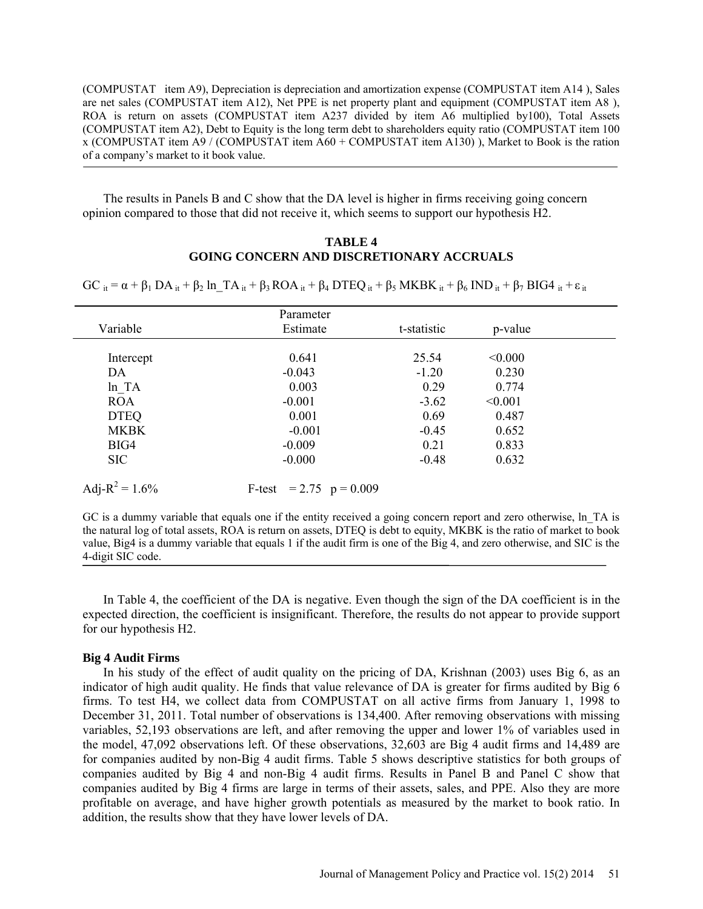(COMPUSTAT item A9), Depreciation is depreciation and amortization expense (COMPUSTAT item A14 ), Sales are net sales (COMPUSTAT item A12), Net PPE is net property plant and equipment (COMPUSTAT item A8 ), ROA is return on assets (COMPUSTAT item A237 divided by item A6 multiplied by100), Total Assets (COMPUSTAT item A2), Debt to Equity is the long term debt to shareholders equity ratio (COMPUSTAT item 100 x (COMPUSTAT item A9 / (COMPUSTAT item A60 + COMPUSTAT item A130) ), Market to Book is the ration of a company's market to it book value.

The results in Panels B and C show that the DA level is higher in firms receiving going concern opinion compared to those that did not receive it, which seems to support our hypothesis H2.

## **TABLE 4 GOING CONCERN AND DISCRETIONARY ACCRUALS**

 $GC$  it =  $\alpha$  +  $\beta_1$  DA it +  $\beta_2$  ln TA it +  $\beta_3$  ROA it +  $\beta_4$  DTEQ it +  $\beta_5$  MKBK it +  $\beta_6$  IND it +  $\beta_7$  BIG4 it +  $\epsilon$  it

|                    | Parameter                   |             |         |  |
|--------------------|-----------------------------|-------------|---------|--|
| Variable           | Estimate                    | t-statistic | p-value |  |
|                    |                             |             |         |  |
| Intercept          | 0.641                       | 25.54       | < 0.000 |  |
| DA                 | $-0.043$                    | $-1.20$     | 0.230   |  |
| ln TA              | 0.003                       | 0.29        | 0.774   |  |
| <b>ROA</b>         | $-0.001$                    | $-3.62$     | < 0.001 |  |
| <b>DTEQ</b>        | 0.001                       | 0.69        | 0.487   |  |
| <b>MKBK</b>        | $-0.001$                    | $-0.45$     | 0.652   |  |
| BIG4               | $-0.009$                    | 0.21        | 0.833   |  |
| <b>SIC</b>         | $-0.000$                    | $-0.48$     | 0.632   |  |
| Adj- $R^2 = 1.6\%$ | F-test $= 2.75$ $p = 0.009$ |             |         |  |

GC is a dummy variable that equals one if the entity received a going concern report and zero otherwise, ln\_TA is the natural log of total assets, ROA is return on assets, DTEQ is debt to equity, MKBK is the ratio of market to book value, Big4 is a dummy variable that equals 1 if the audit firm is one of the Big 4, and zero otherwise, and SIC is the 4-digit SIC code.

In Table 4, the coefficient of the DA is negative. Even though the sign of the DA coefficient is in the expected direction, the coefficient is insignificant. Therefore, the results do not appear to provide support for our hypothesis H2.

### **Big 4 Audit Firms**

In his study of the effect of audit quality on the pricing of DA, Krishnan (2003) uses Big 6, as an indicator of high audit quality. He finds that value relevance of DA is greater for firms audited by Big 6 firms. To test H4, we collect data from COMPUSTAT on all active firms from January 1, 1998 to December 31, 2011. Total number of observations is 134,400. After removing observations with missing variables, 52,193 observations are left, and after removing the upper and lower 1% of variables used in the model, 47,092 observations left. Of these observations, 32,603 are Big 4 audit firms and 14,489 are for companies audited by non-Big 4 audit firms. Table 5 shows descriptive statistics for both groups of companies audited by Big 4 and non-Big 4 audit firms. Results in Panel B and Panel C show that companies audited by Big 4 firms are large in terms of their assets, sales, and PPE. Also they are more profitable on average, and have higher growth potentials as measured by the market to book ratio. In addition, the results show that they have lower levels of DA.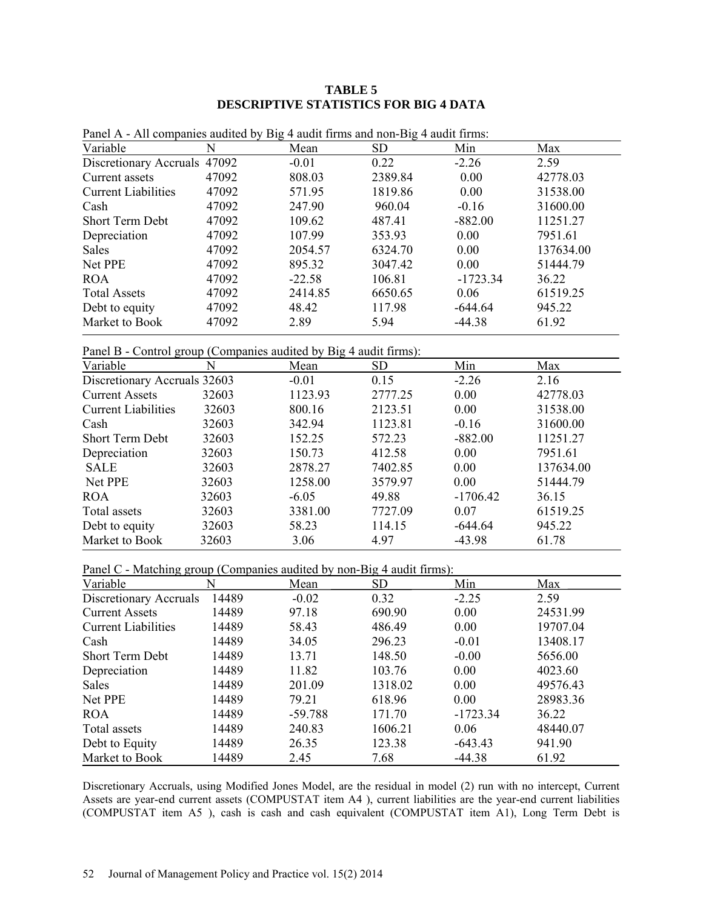# **TABLE 5 DESCRIPTIVE STATISTICS FOR BIG 4 DATA**

| Variable                     | N     | Mean     | <b>SD</b> | Min        | Max       |
|------------------------------|-------|----------|-----------|------------|-----------|
| Discretionary Accruals 47092 |       | $-0.01$  | 0.22      | $-2.26$    | 2.59      |
| Current assets               | 47092 | 808.03   | 2389.84   | 0.00       | 42778.03  |
| <b>Current Liabilities</b>   | 47092 | 571.95   | 1819.86   | 0.00       | 31538.00  |
| Cash                         | 47092 | 247.90   | 960.04    | $-0.16$    | 31600.00  |
| <b>Short Term Debt</b>       | 47092 | 109.62   | 487.41    | $-882.00$  | 11251.27  |
| Depreciation                 | 47092 | 107.99   | 353.93    | 0.00       | 7951.61   |
| <b>Sales</b>                 | 47092 | 2054.57  | 6324.70   | 0.00       | 137634.00 |
| Net PPE                      | 47092 | 895.32   | 3047.42   | 0.00       | 51444.79  |
| <b>ROA</b>                   | 47092 | $-22.58$ | 106.81    | $-1723.34$ | 36.22     |
| <b>Total Assets</b>          | 47092 | 2414.85  | 6650.65   | 0.06       | 61519.25  |
| Debt to equity               | 47092 | 48.42    | 117.98    | $-644.64$  | 945.22    |
| Market to Book               | 47092 | 2.89     | 5.94      | $-44.38$   | 61.92     |
|                              |       |          |           |            |           |

Panel A - All companies audited by Big 4 audit firms and non-Big 4 audit firms:

Panel B - Control group (Companies audited by Big 4 audit firms):

| Variable                     | Ν     | Mean    | <b>SD</b> | Min        | Max       |
|------------------------------|-------|---------|-----------|------------|-----------|
| Discretionary Accruals 32603 |       | $-0.01$ | 0.15      | $-2.26$    | 2.16      |
| <b>Current Assets</b>        | 32603 | 1123.93 | 2777.25   | 0.00       | 42778.03  |
| <b>Current Liabilities</b>   | 32603 | 800.16  | 2123.51   | 0.00       | 31538.00  |
| Cash                         | 32603 | 342.94  | 1123.81   | $-0.16$    | 31600.00  |
| <b>Short Term Debt</b>       | 32603 | 152.25  | 572.23    | $-882.00$  | 11251.27  |
| Depreciation                 | 32603 | 150.73  | 412.58    | 0.00       | 7951.61   |
| <b>SALE</b>                  | 32603 | 2878.27 | 7402.85   | 0.00       | 137634.00 |
| Net PPE                      | 32603 | 1258.00 | 3579.97   | 0.00       | 51444.79  |
| <b>ROA</b>                   | 32603 | $-6.05$ | 49.88     | $-1706.42$ | 36.15     |
| Total assets                 | 32603 | 3381.00 | 7727.09   | 0.07       | 61519.25  |
| Debt to equity               | 32603 | 58.23   | 114.15    | $-644.64$  | 945.22    |
| Market to Book               | 32603 | 3.06    | 4.97      | $-43.98$   | 61.78     |

Panel C - Matching group (Companies audited by non-Big 4 audit firms):

| .<br>Variable              | N     | Mean      | <b>SD</b> | Min        | Max      |
|----------------------------|-------|-----------|-----------|------------|----------|
| Discretionary Accruals     | 14489 | $-0.02$   | 0.32      | $-2.25$    | 2.59     |
| <b>Current Assets</b>      | 14489 | 97.18     | 690.90    | 0.00       | 24531.99 |
| <b>Current Liabilities</b> | 14489 | 58.43     | 486.49    | 0.00       | 19707.04 |
| Cash                       | 14489 | 34.05     | 296.23    | $-0.01$    | 13408.17 |
| <b>Short Term Debt</b>     | 14489 | 13.71     | 148.50    | $-0.00$    | 5656.00  |
| Depreciation               | 14489 | 11.82     | 103.76    | 0.00       | 4023.60  |
| <b>Sales</b>               | 14489 | 201.09    | 1318.02   | 0.00       | 49576.43 |
| Net PPE                    | 14489 | 79.21     | 618.96    | 0.00       | 28983.36 |
| <b>ROA</b>                 | 14489 | $-59.788$ | 171.70    | $-1723.34$ | 36.22    |
| Total assets               | 14489 | 240.83    | 1606.21   | 0.06       | 48440.07 |
| Debt to Equity             | 14489 | 26.35     | 123.38    | $-643.43$  | 941.90   |
| Market to Book             | 14489 | 2.45      | 7.68      | $-44.38$   | 61.92    |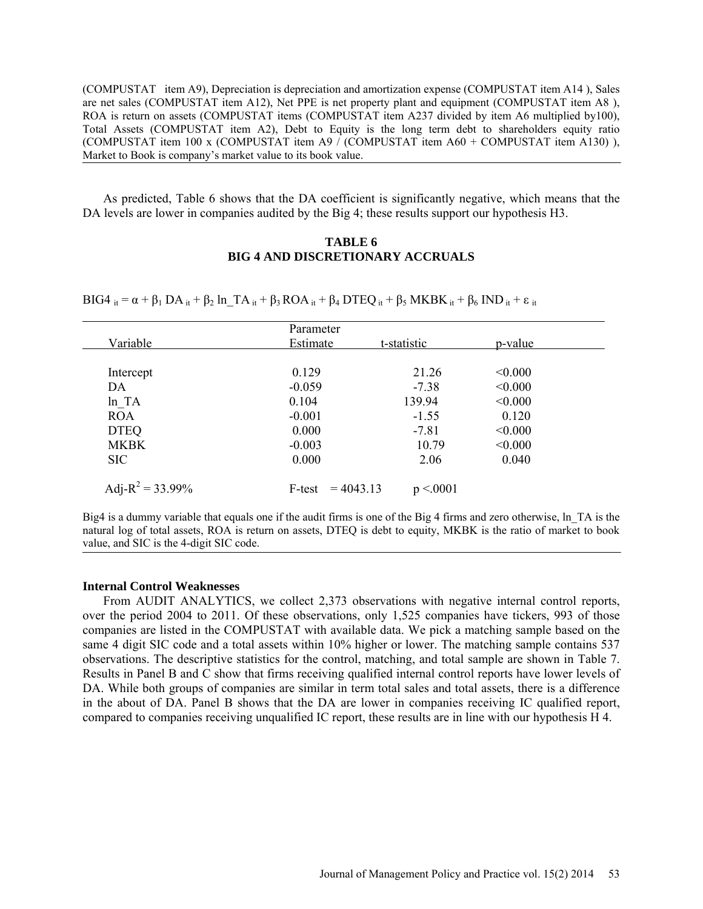(COMPUSTAT item A9), Depreciation is depreciation and amortization expense (COMPUSTAT item A14 ), Sales are net sales (COMPUSTAT item A12), Net PPE is net property plant and equipment (COMPUSTAT item A8 ), ROA is return on assets (COMPUSTAT items (COMPUSTAT item A237 divided by item A6 multiplied by100), Total Assets (COMPUSTAT item A2), Debt to Equity is the long term debt to shareholders equity ratio (COMPUSTAT item 100 x (COMPUSTAT item A9 / (COMPUSTAT item A60 + COMPUSTAT item A130) ), Market to Book is company's market value to its book value.

As predicted, Table 6 shows that the DA coefficient is significantly negative, which means that the DA levels are lower in companies audited by the Big 4; these results support our hypothesis H3.

# **TABLE 6 BIG 4 AND DISCRETIONARY ACCRUALS**

BIG4 it =  $\alpha$  +  $\beta_1$  DA it +  $\beta_2$  ln TA it +  $\beta_3$  ROA it +  $\beta_4$  DTEQ it +  $\beta_5$  MKBK it +  $\beta_6$  IND it +  $\varepsilon$  it

|                     | Parameter             |             |         |
|---------------------|-----------------------|-------------|---------|
| Variable            | Estimate              | t-statistic | p-value |
|                     |                       |             |         |
| Intercept           | 0.129                 | 21.26       | < 0.000 |
| DA                  | $-0.059$              | $-7.38$     | < 0.000 |
| ln TA               | 0.104                 | 139.94      | < 0.000 |
| <b>ROA</b>          | $-0.001$              | $-1.55$     | 0.120   |
| <b>DTEQ</b>         | 0.000                 | $-7.81$     | < 0.000 |
| <b>MKBK</b>         | $-0.003$              | 10.79       | < 0.000 |
| <b>SIC</b>          | 0.000                 | 2.06        | 0.040   |
|                     |                       |             |         |
| Adj- $R^2$ = 33.99% | $= 4043.13$<br>F-test | p < 0001    |         |

Big4 is a dummy variable that equals one if the audit firms is one of the Big 4 firms and zero otherwise, ln\_TA is the natural log of total assets, ROA is return on assets, DTEQ is debt to equity, MKBK is the ratio of market to book value, and SIC is the 4-digit SIC code.

#### **Internal Control Weaknesses**

From AUDIT ANALYTICS, we collect 2,373 observations with negative internal control reports, over the period 2004 to 2011. Of these observations, only 1,525 companies have tickers, 993 of those companies are listed in the COMPUSTAT with available data. We pick a matching sample based on the same 4 digit SIC code and a total assets within 10% higher or lower. The matching sample contains 537 observations. The descriptive statistics for the control, matching, and total sample are shown in Table 7. Results in Panel B and C show that firms receiving qualified internal control reports have lower levels of DA. While both groups of companies are similar in term total sales and total assets, there is a difference in the about of DA. Panel B shows that the DA are lower in companies receiving IC qualified report, compared to companies receiving unqualified IC report, these results are in line with our hypothesis H 4.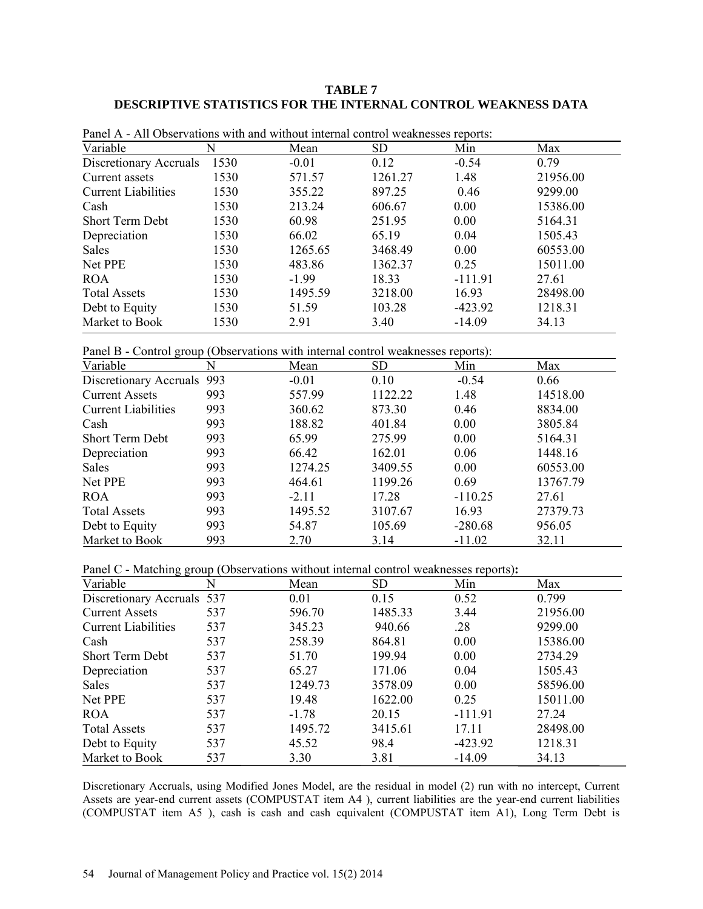# **TABLE 7 DESCRIPTIVE STATISTICS FOR THE INTERNAL CONTROL WEAKNESS DATA**

| Variable                   | N    | Mean    | SD.     | Min       | Max      |
|----------------------------|------|---------|---------|-----------|----------|
| Discretionary Accruals     | 1530 | $-0.01$ | 0.12    | $-0.54$   | 0.79     |
| Current assets             | 1530 | 571.57  | 1261.27 | 1.48      | 21956.00 |
| <b>Current Liabilities</b> | 1530 | 355.22  | 897.25  | 0.46      | 9299.00  |
| Cash                       | 1530 | 213.24  | 606.67  | 0.00      | 15386.00 |
| <b>Short Term Debt</b>     | 1530 | 60.98   | 251.95  | 0.00      | 5164.31  |
| Depreciation               | 1530 | 66.02   | 65.19   | 0.04      | 1505.43  |
| <b>Sales</b>               | 1530 | 1265.65 | 3468.49 | 0.00      | 60553.00 |
| Net PPE                    | 1530 | 483.86  | 1362.37 | 0.25      | 15011.00 |
| <b>ROA</b>                 | 1530 | $-1.99$ | 18.33   | $-111.91$ | 27.61    |
| <b>Total Assets</b>        | 1530 | 1495.59 | 3218.00 | 16.93     | 28498.00 |
| Debt to Equity             | 1530 | 51.59   | 103.28  | $-423.92$ | 1218.31  |
| Market to Book             | 1530 | 2.91    | 3.40    | $-14.09$  | 34.13    |

Panel A - All Observations with and without internal control weaknesses reports:

Panel B - Control group (Observations with internal control weaknesses reports):

| Variable                   | N   | Mean    | <b>SD</b> | Min       | Max      |
|----------------------------|-----|---------|-----------|-----------|----------|
| Discretionary Accruals 993 |     | $-0.01$ | 0.10      | $-0.54$   | 0.66     |
| <b>Current Assets</b>      | 993 | 557.99  | 1122.22   | 1.48      | 14518.00 |
| <b>Current Liabilities</b> | 993 | 360.62  | 873.30    | 0.46      | 8834.00  |
| Cash                       | 993 | 188.82  | 401.84    | 0.00      | 3805.84  |
| <b>Short Term Debt</b>     | 993 | 65.99   | 275.99    | 0.00      | 5164.31  |
| Depreciation               | 993 | 66.42   | 162.01    | 0.06      | 1448.16  |
| <b>Sales</b>               | 993 | 1274.25 | 3409.55   | 0.00      | 60553.00 |
| Net PPE                    | 993 | 464.61  | 1199.26   | 0.69      | 13767.79 |
| <b>ROA</b>                 | 993 | $-2.11$ | 17.28     | $-110.25$ | 27.61    |
| <b>Total Assets</b>        | 993 | 1495.52 | 3107.67   | 16.93     | 27379.73 |
| Debt to Equity             | 993 | 54.87   | 105.69    | $-280.68$ | 956.05   |
| Market to Book             | 993 | 2.70    | 3.14      | $-11.02$  | 32.11    |

Panel C - Matching group (Observations without internal control weaknesses reports)**:** 

| Variable                   | N   | Mean    | <b>SD</b> | Min       | Max      |
|----------------------------|-----|---------|-----------|-----------|----------|
| Discretionary Accruals 537 |     | 0.01    | 0.15      | 0.52      | 0.799    |
| <b>Current Assets</b>      | 537 | 596.70  | 1485.33   | 3.44      | 21956.00 |
| <b>Current Liabilities</b> | 537 | 345.23  | 940.66    | .28       | 9299.00  |
| Cash                       | 537 | 258.39  | 864.81    | 0.00      | 15386.00 |
| <b>Short Term Debt</b>     | 537 | 51.70   | 199.94    | 0.00      | 2734.29  |
| Depreciation               | 537 | 65.27   | 171.06    | 0.04      | 1505.43  |
| Sales                      | 537 | 1249.73 | 3578.09   | 0.00      | 58596.00 |
| Net PPE                    | 537 | 19.48   | 1622.00   | 0.25      | 15011.00 |
| <b>ROA</b>                 | 537 | $-1.78$ | 20.15     | $-111.91$ | 27.24    |
| <b>Total Assets</b>        | 537 | 1495.72 | 3415.61   | 17.11     | 28498.00 |
| Debt to Equity             | 537 | 45.52   | 98.4      | $-423.92$ | 1218.31  |
| Market to Book             | 537 | 3.30    | 3.81      | $-14.09$  | 34.13    |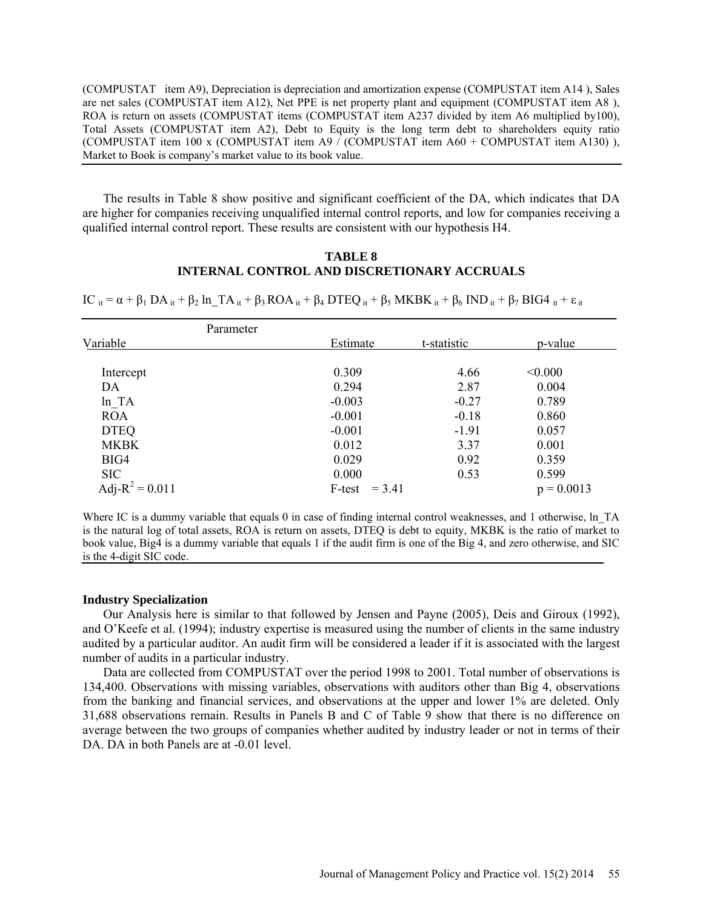(COMPUSTAT item A9), Depreciation is depreciation and amortization expense (COMPUSTAT item A14 ), Sales are net sales (COMPUSTAT item A12), Net PPE is net property plant and equipment (COMPUSTAT item A8 ), ROA is return on assets (COMPUSTAT items (COMPUSTAT item A237 divided by item A6 multiplied by100), Total Assets (COMPUSTAT item A2), Debt to Equity is the long term debt to shareholders equity ratio (COMPUSTAT item 100 x (COMPUSTAT item A9 / (COMPUSTAT item A60 + COMPUSTAT item A130) ), Market to Book is company's market value to its book value.

The results in Table 8 show positive and significant coefficient of the DA, which indicates that DA are higher for companies receiving unqualified internal control reports, and low for companies receiving a qualified internal control report. These results are consistent with our hypothesis H4.

### **TABLE 8 INTERNAL CONTROL AND DISCRETIONARY ACCRUALS**

 $IC$  it =  $\alpha$  +  $\beta_1$  DA it +  $\beta_2$  ln TA it +  $\beta_3$  ROA it +  $\beta_4$  DTEQ it +  $\beta_5$  MKBK it +  $\beta_6$  IND it +  $\beta_7$  BIG4 it +  $\varepsilon$  it

|                    | Parameter |                    |             |              |
|--------------------|-----------|--------------------|-------------|--------------|
| Variable           |           | Estimate           | t-statistic | p-value      |
|                    |           |                    |             |              |
| Intercept          |           | 0.309              | 4.66        | < 0.000      |
| DA                 |           | 0.294              | 2.87        | 0.004        |
| ln TA              |           | $-0.003$           | $-0.27$     | 0.789        |
| <b>ROA</b>         |           | $-0.001$           | $-0.18$     | 0.860        |
| <b>DTEQ</b>        |           | $-0.001$           | $-1.91$     | 0.057        |
| <b>MKBK</b>        |           | 0.012              | 3.37        | 0.001        |
| BIG4               |           | 0.029              | 0.92        | 0.359        |
| <b>SIC</b>         |           | 0.000              | 0.53        | 0.599        |
| Adj- $R^2 = 0.011$ |           | $= 3.41$<br>F-test |             | $p = 0.0013$ |

Where IC is a dummy variable that equals 0 in case of finding internal control weaknesses, and 1 otherwise, ln\_TA is the natural log of total assets, ROA is return on assets, DTEQ is debt to equity, MKBK is the ratio of market to book value, Big4 is a dummy variable that equals 1 if the audit firm is one of the Big 4, and zero otherwise, and SIC is the 4-digit SIC code.

#### **Industry Specialization**

Our Analysis here is similar to that followed by Jensen and Payne (2005), Deis and Giroux (1992), and O'Keefe et al. (1994); industry expertise is measured using the number of clients in the same industry audited by a particular auditor. An audit firm will be considered a leader if it is associated with the largest number of audits in a particular industry.

Data are collected from COMPUSTAT over the period 1998 to 2001. Total number of observations is 134,400. Observations with missing variables, observations with auditors other than Big 4, observations from the banking and financial services, and observations at the upper and lower 1% are deleted. Only 31,688 observations remain. Results in Panels B and C of Table 9 show that there is no difference on average between the two groups of companies whether audited by industry leader or not in terms of their DA. DA in both Panels are at  $-0.01$  level.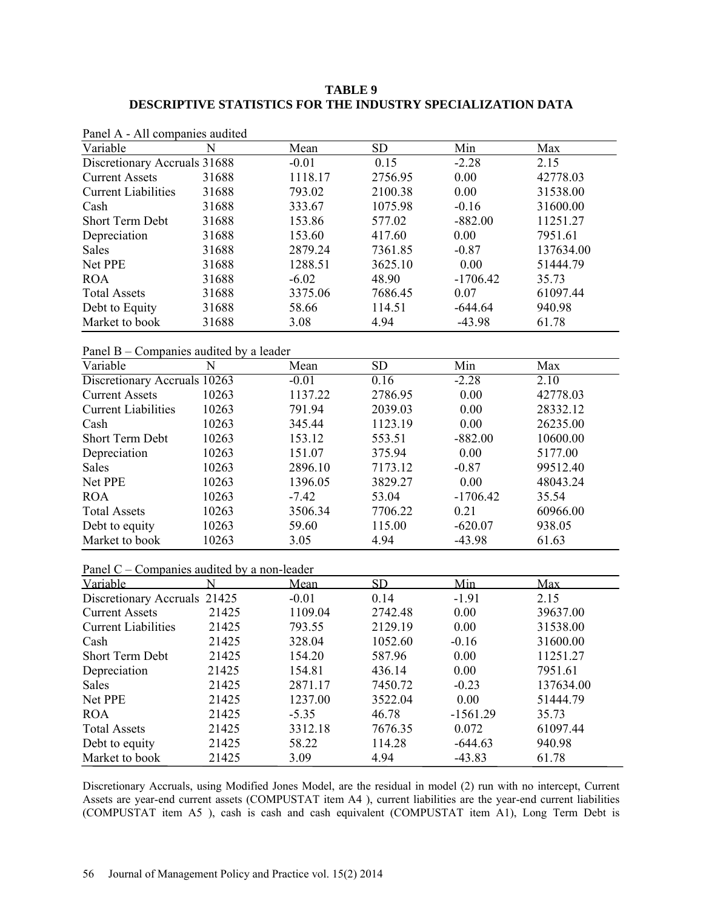# **TABLE 9 DESCRIPTIVE STATISTICS FOR THE INDUSTRY SPECIALIZATION DATA**

| Patier A - All companies audited |       |         |           |            |           |  |
|----------------------------------|-------|---------|-----------|------------|-----------|--|
| Variable                         | N     | Mean    | <b>SD</b> | Min        | Max       |  |
| Discretionary Accruals 31688     |       | $-0.01$ | 0.15      | $-2.28$    | 2.15      |  |
| <b>Current Assets</b>            | 31688 | 1118.17 | 2756.95   | 0.00       | 42778.03  |  |
| <b>Current Liabilities</b>       | 31688 | 793.02  | 2100.38   | 0.00       | 31538.00  |  |
| Cash                             | 31688 | 333.67  | 1075.98   | $-0.16$    | 31600.00  |  |
| <b>Short Term Debt</b>           | 31688 | 153.86  | 577.02    | $-882.00$  | 11251.27  |  |
| Depreciation                     | 31688 | 153.60  | 417.60    | 0.00       | 7951.61   |  |
| <b>Sales</b>                     | 31688 | 2879.24 | 7361.85   | $-0.87$    | 137634.00 |  |
| Net PPE                          | 31688 | 1288.51 | 3625.10   | 0.00       | 51444.79  |  |
| <b>ROA</b>                       | 31688 | $-6.02$ | 48.90     | $-1706.42$ | 35.73     |  |
| <b>Total Assets</b>              | 31688 | 3375.06 | 7686.45   | 0.07       | 61097.44  |  |
| Debt to Equity                   | 31688 | 58.66   | 114.51    | $-644.64$  | 940.98    |  |
| Market to book                   | 31688 | 3.08    | 4.94      | $-43.98$   | 61.78     |  |

Panel A - All companies audited

Panel B – Companies audited by a leader

| Variable                     | N     | Mean    | <b>SD</b> | Min        | Max      |  |
|------------------------------|-------|---------|-----------|------------|----------|--|
| Discretionary Accruals 10263 |       | $-0.01$ | 0.16      | $-2.28$    | 2.10     |  |
| <b>Current Assets</b>        | 10263 | 1137.22 | 2786.95   | 0.00       | 42778.03 |  |
| <b>Current Liabilities</b>   | 10263 | 791.94  | 2039.03   | 0.00       | 28332.12 |  |
| Cash                         | 10263 | 345.44  | 1123.19   | 0.00       | 26235.00 |  |
| <b>Short Term Debt</b>       | 10263 | 153.12  | 553.51    | $-882.00$  | 10600.00 |  |
| Depreciation                 | 10263 | 151.07  | 375.94    | 0.00       | 5177.00  |  |
| <b>Sales</b>                 | 10263 | 2896.10 | 7173.12   | $-0.87$    | 99512.40 |  |
| Net PPE                      | 10263 | 1396.05 | 3829.27   | 0.00       | 48043.24 |  |
| <b>ROA</b>                   | 10263 | $-7.42$ | 53.04     | $-1706.42$ | 35.54    |  |
| <b>Total Assets</b>          | 10263 | 3506.34 | 7706.22   | 0.21       | 60966.00 |  |
| Debt to equity               | 10263 | 59.60   | 115.00    | $-620.07$  | 938.05   |  |
| Market to book               | 10263 | 3.05    | 4.94      | $-43.98$   | 61.63    |  |

| Panel $C$ – Companies audited by a non-leader |  |
|-----------------------------------------------|--|
|-----------------------------------------------|--|

| Variable                     |       | Mean    | <b>SD</b> | Min        | Max       |
|------------------------------|-------|---------|-----------|------------|-----------|
| Discretionary Accruals 21425 |       | $-0.01$ | 0.14      | $-1.91$    | 2.15      |
| <b>Current Assets</b>        | 21425 | 1109.04 | 2742.48   | 0.00       | 39637.00  |
| <b>Current Liabilities</b>   | 21425 | 793.55  | 2129.19   | 0.00       | 31538.00  |
| Cash                         | 21425 | 328.04  | 1052.60   | $-0.16$    | 31600.00  |
| Short Term Debt              | 21425 | 154.20  | 587.96    | 0.00       | 11251.27  |
| Depreciation                 | 21425 | 154.81  | 436.14    | 0.00       | 7951.61   |
| <b>Sales</b>                 | 21425 | 2871.17 | 7450.72   | $-0.23$    | 137634.00 |
| Net PPE                      | 21425 | 1237.00 | 3522.04   | 0.00       | 51444.79  |
| <b>ROA</b>                   | 21425 | $-5.35$ | 46.78     | $-1561.29$ | 35.73     |
| <b>Total Assets</b>          | 21425 | 3312.18 | 7676.35   | 0.072      | 61097.44  |
| Debt to equity               | 21425 | 58.22   | 114.28    | $-644.63$  | 940.98    |
| Market to book               | 21425 | 3.09    | 4.94      | $-43.83$   | 61.78     |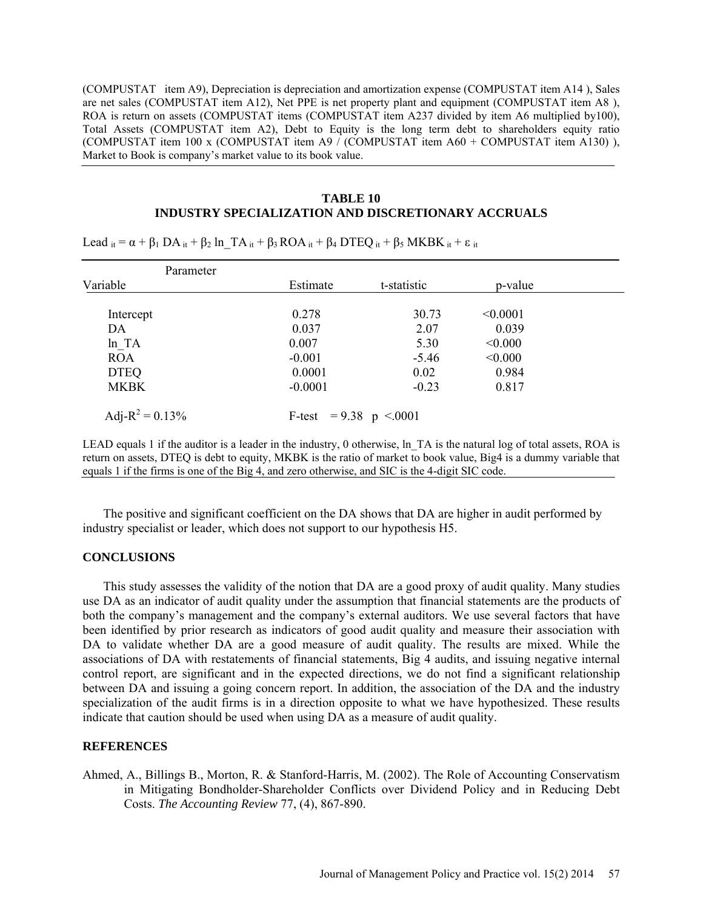(COMPUSTAT item A9), Depreciation is depreciation and amortization expense (COMPUSTAT item A14 ), Sales are net sales (COMPUSTAT item A12), Net PPE is net property plant and equipment (COMPUSTAT item A8 ), ROA is return on assets (COMPUSTAT items (COMPUSTAT item A237 divided by item A6 multiplied by100), Total Assets (COMPUSTAT item A2), Debt to Equity is the long term debt to shareholders equity ratio (COMPUSTAT item 100 x (COMPUSTAT item A9 / (COMPUSTAT item A60 + COMPUSTAT item A130) ), Market to Book is company's market value to its book value.

## **TABLE 10 INDUSTRY SPECIALIZATION AND DISCRETIONARY ACCRUALS**

| Parameter           |                          |             |          |  |
|---------------------|--------------------------|-------------|----------|--|
| Variable            | Estimate                 | t-statistic | p-value  |  |
| Intercept           | 0.278                    | 30.73       | < 0.0001 |  |
| DA                  | 0.037                    | 2.07        | 0.039    |  |
| $ln\_TA$            | 0.007                    | 5.30        | < 0.000  |  |
| <b>ROA</b>          | $-0.001$                 | $-5.46$     | < 0.000  |  |
| <b>DTEQ</b>         | 0.0001                   | 0.02        | 0.984    |  |
| <b>MKBK</b>         | $-0.0001$                | $-0.23$     | 0.817    |  |
| Adj- $R^2 = 0.13\%$ | F-test = $9.38$ p < 0001 |             |          |  |

Lead  $i_t = \alpha + \beta_1 DA_{it} + \beta_2$  ln TA  $i_t + \beta_3 ROA_{it} + \beta_4 DTEQ_{it} + \beta_5 MKBK_{it} + \varepsilon_{it}$ 

LEAD equals 1 if the auditor is a leader in the industry, 0 otherwise, ln TA is the natural log of total assets, ROA is return on assets, DTEQ is debt to equity, MKBK is the ratio of market to book value, Big4 is a dummy variable that equals 1 if the firms is one of the Big 4, and zero otherwise, and SIC is the 4-digit SIC code.

The positive and significant coefficient on the DA shows that DA are higher in audit performed by industry specialist or leader, which does not support to our hypothesis H5.

## **CONCLUSIONS**

This study assesses the validity of the notion that DA are a good proxy of audit quality. Many studies use DA as an indicator of audit quality under the assumption that financial statements are the products of both the company's management and the company's external auditors. We use several factors that have been identified by prior research as indicators of good audit quality and measure their association with DA to validate whether DA are a good measure of audit quality. The results are mixed. While the associations of DA with restatements of financial statements, Big 4 audits, and issuing negative internal control report, are significant and in the expected directions, we do not find a significant relationship between DA and issuing a going concern report. In addition, the association of the DA and the industry specialization of the audit firms is in a direction opposite to what we have hypothesized. These results indicate that caution should be used when using DA as a measure of audit quality.

### **REFERENCES**

Ahmed, A., Billings B., Morton, R. & Stanford-Harris, M. (2002). The Role of Accounting Conservatism in Mitigating Bondholder-Shareholder Conflicts over Dividend Policy and in Reducing Debt Costs. *The Accounting Review* 77, (4), 867-890.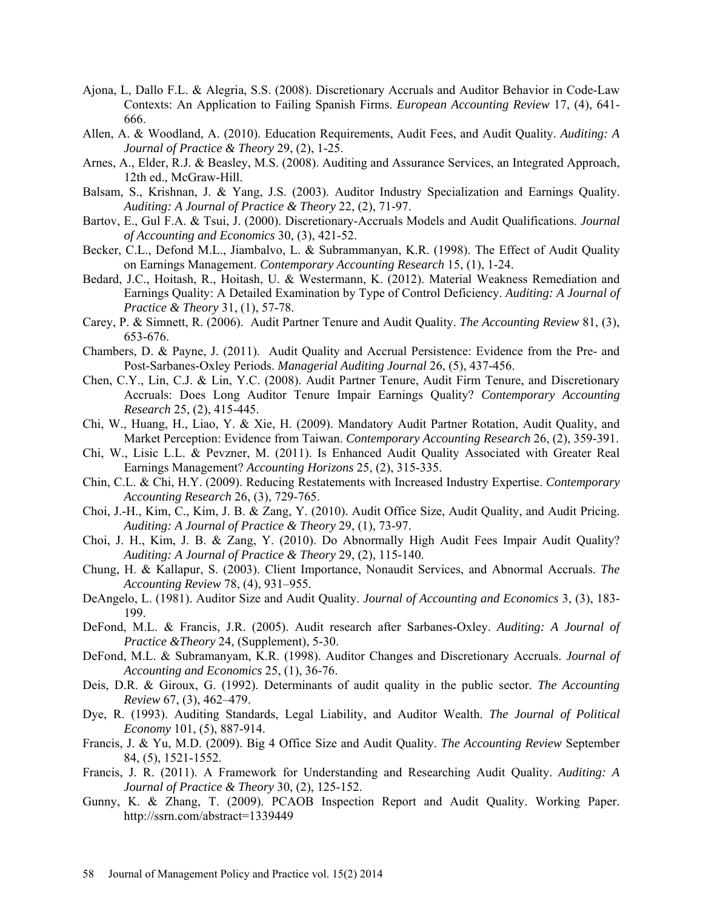- Ajona, L, Dallo F.L. & Alegria, S.S. (2008). Discretionary Accruals and Auditor Behavior in Code-Law Contexts: An Application to Failing Spanish Firms. *European Accounting Review* 17, (4), 641- 666.
- Allen, A. & Woodland, A. (2010). Education Requirements, Audit Fees, and Audit Quality. *Auditing: A Journal of Practice & Theory* 29, (2), 1-25.
- Arnes, A., Elder, R.J. & Beasley, M.S. (2008). Auditing and Assurance Services, an Integrated Approach, 12th ed., McGraw-Hill.
- Balsam, S., Krishnan, J. & Yang, J.S. (2003). Auditor Industry Specialization and Earnings Quality. *Auditing: A Journal of Practice & Theory* 22, (2), 71-97.
- Bartov, E., Gul F.A. & Tsui, J. (2000). Discretionary-Accruals Models and Audit Qualifications. *Journal of Accounting and Economics* 30, (3), 421-52.
- Becker, C.L., Defond M.L., Jiambalvo, L. & Subrammanyan, K.R. (1998). The Effect of Audit Quality on Earnings Management. *Contemporary Accounting Research* 15, (1), 1-24.
- Bedard, J.C., Hoitash, R., Hoitash, U. & Westermann, K. (2012). Material Weakness Remediation and Earnings Quality: A Detailed Examination by Type of Control Deficiency. *Auditing: A Journal of Practice & Theory* 31, (1), 57-78.
- Carey, P. & Simnett, R. (2006). Audit Partner Tenure and Audit Quality. *The Accounting Review* 81, (3), 653-676.
- Chambers, D. & Payne, J. (2011). Audit Quality and Accrual Persistence: Evidence from the Pre- and Post-Sarbanes-Oxley Periods. *Managerial Auditing Journal* 26, (5), 437-456.
- Chen, C.Y., Lin, C.J. & Lin, Y.C. (2008). Audit Partner Tenure, Audit Firm Tenure, and Discretionary Accruals: Does Long Auditor Tenure Impair Earnings Quality? *Contemporary Accounting Research* 25, (2), 415-445.
- Chi, W., Huang, H., Liao, Y. & Xie, H. (2009). Mandatory Audit Partner Rotation, Audit Quality, and Market Perception: Evidence from Taiwan. *Contemporary Accounting Research* 26, (2), 359-391.
- Chi, W., Lisic L.L. & Pevzner, M. (2011). Is Enhanced Audit Quality Associated with Greater Real Earnings Management? *Accounting Horizons* 25, (2), 315-335.
- Chin, C.L. & Chi, H.Y. (2009). Reducing Restatements with Increased Industry Expertise. *Contemporary Accounting Research* 26, (3), 729-765.
- Choi, J.-H., Kim, C., Kim, J. B. & Zang, Y. (2010). Audit Office Size, Audit Quality, and Audit Pricing. *Auditing: A Journal of Practice & Theory* 29, (1), 73-97.
- Choi, J. H., Kim, J. B. & Zang, Y. (2010). Do Abnormally High Audit Fees Impair Audit Quality? *Auditing: A Journal of Practice & Theory* 29, (2), 115-140.
- Chung, H. & Kallapur, S. (2003). Client Importance, Nonaudit Services, and Abnormal Accruals. *The Accounting Review* 78, (4), 931–955.
- DeAngelo, L. (1981). Auditor Size and Audit Quality. *Journal of Accounting and Economics* 3, (3), 183- 199.
- DeFond, M.L. & Francis, J.R. (2005). Audit research after Sarbanes-Oxley. *Auditing: A Journal of Practice &Theory* 24, (Supplement), 5-30.
- DeFond, M.L. & Subramanyam, K.R. (1998). Auditor Changes and Discretionary Accruals. *Journal of Accounting and Economics* 25, (1), 36-76.
- Deis, D.R. & Giroux, G. (1992). Determinants of audit quality in the public sector. *The Accounting Review* 67, (3), 462–479.
- Dye, R. (1993). Auditing Standards, Legal Liability, and Auditor Wealth. *The Journal of Political Economy* 101, (5), 887-914.
- Francis, J. & Yu, M.D. (2009). Big 4 Office Size and Audit Quality. *The Accounting Review* September 84, (5), 1521-1552.
- Francis, J. R. (2011). A Framework for Understanding and Researching Audit Quality. *Auditing: A Journal of Practice & Theory* 30, (2), 125-152.
- Gunny, K. & Zhang, T. (2009). PCAOB Inspection Report and Audit Quality. Working Paper. http://ssrn.com/abstract=1339449